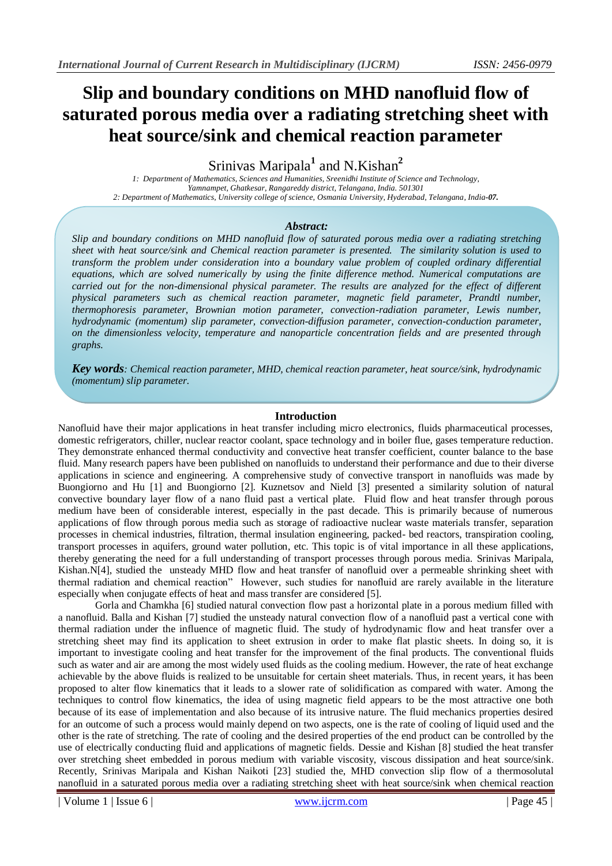# **Slip and boundary conditions on MHD nanofluid flow of saturated porous media over a radiating stretching sheet with heat source/sink and chemical reaction parameter**

Srinivas Maripala**<sup>1</sup>** and N.Kishan**<sup>2</sup>**

*1: Department of Mathematics, Sciences and Humanities, Sreenidhi Institute of Science and Technology, Yamnampet, Ghatkesar, Rangareddy district, Telangana, India. 501301 2: Department of Mathematics, University college of science, Osmania University, Hyderabad, Telangana, India-07.*

# *Abstract:*

*Slip and boundary conditions on MHD nanofluid flow of saturated porous media over a radiating stretching sheet with heat source/sink and Chemical reaction parameter is presented. The similarity solution is used to transform the problem under consideration into a boundary value problem of coupled ordinary differential equations, which are solved numerically by using the finite difference method. Numerical computations are carried out for the non-dimensional physical parameter. The results are analyzed for the effect of different physical parameters such as chemical reaction parameter, magnetic field parameter, Prandtl number, thermophoresis parameter, Brownian motion parameter, convection-radiation parameter, Lewis number, hydrodynamic (momentum) slip parameter, convection-diffusion parameter, convection-conduction parameter, on the dimensionless velocity, temperature and nanoparticle concentration fields and are presented through graphs.*

*Key words: Chemical reaction parameter, MHD, chemical reaction parameter, heat source/sink, hydrodynamic (momentum) slip parameter.*

## **Introduction**

Nanofluid have their major applications in heat transfer including micro electronics, fluids pharmaceutical processes, domestic refrigerators, chiller, nuclear reactor coolant, space technology and in boiler flue, gases temperature reduction. They demonstrate enhanced thermal conductivity and convective heat transfer coefficient, counter balance to the base fluid. Many research papers have been published on nanofluids to understand their performance and due to their diverse applications in science and engineering. A comprehensive study of convective transport in nanofluids was made by Buongiorno and Hu [1] and Buongiorno [2]. Kuznetsov and Nield [3] presented a similarity solution of natural convective boundary layer flow of a nano fluid past a vertical plate. Fluid flow and heat transfer through porous medium have been of considerable interest, especially in the past decade. This is primarily because of numerous applications of flow through porous media such as storage of radioactive nuclear waste materials transfer, separation processes in chemical industries, filtration, thermal insulation engineering, packed- bed reactors, transpiration cooling, transport processes in aquifers, ground water pollution, etc. This topic is of vital importance in all these applications, thereby generating the need for a full understanding of transport processes through porous media. Srinivas Maripala, Kishan.N[4], studied the unsteady MHD flow and heat transfer of nanofluid over a permeable shrinking sheet with thermal radiation and chemical reaction" However, such studies for nanofluid are rarely available in the literature especially when conjugate effects of heat and mass transfer are considered [5].

Gorla and Chamkha [6] studied natural convection flow past a horizontal plate in a porous medium filled with a nanofluid. Balla and Kishan [7] studied the unsteady natural convection flow of a nanofluid past a vertical cone with thermal radiation under the influence of magnetic fluid. The study of hydrodynamic flow and heat transfer over a stretching sheet may find its application to sheet extrusion in order to make flat plastic sheets. In doing so, it is important to investigate cooling and heat transfer for the improvement of the final products. The conventional fluids such as water and air are among the most widely used fluids as the cooling medium. However, the rate of heat exchange achievable by the above fluids is realized to be unsuitable for certain sheet materials. Thus, in recent years, it has been proposed to alter flow kinematics that it leads to a slower rate of solidification as compared with water. Among the techniques to control flow kinematics, the idea of using magnetic field appears to be the most attractive one both because of its ease of implementation and also because of its intrusive nature. The fluid mechanics properties desired for an outcome of such a process would mainly depend on two aspects, one is the rate of cooling of liquid used and the other is the rate of stretching. The rate of cooling and the desired properties of the end product can be controlled by the use of electrically conducting fluid and applications of magnetic fields. Dessie and Kishan [8] studied the heat transfer over stretching sheet embedded in porous medium with variable viscosity, viscous dissipation and heat source/sink. Recently, Srinivas Maripala and Kishan Naikoti [23] studied the, MHD convection slip flow of a thermosolutal nanofluid in a saturated porous media over a radiating stretching sheet with heat source/sink when chemical reaction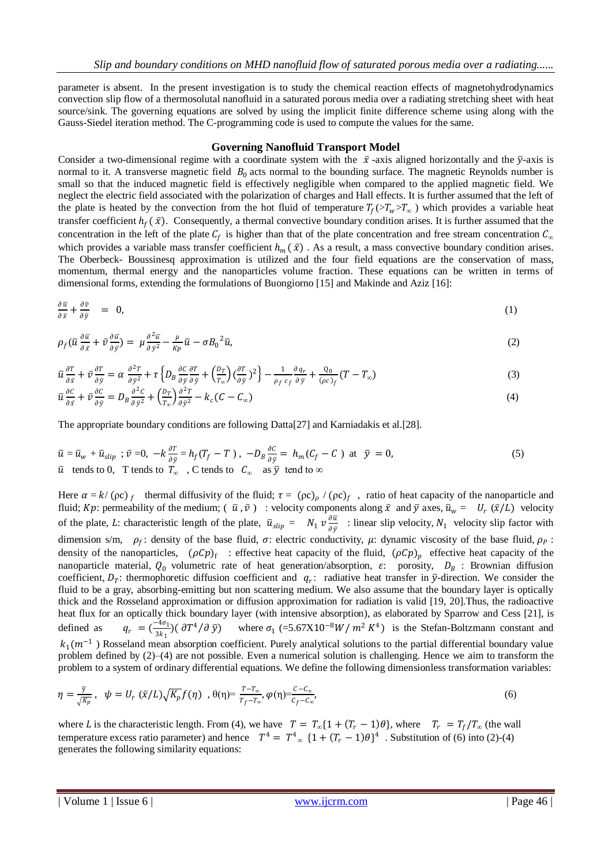parameter is absent. In the present investigation is to study the chemical reaction effects of magnetohydrodynamics convection slip flow of a thermosolutal nanofluid in a saturated porous media over a radiating stretching sheet with heat source/sink. The governing equations are solved by using the implicit finite difference scheme using along with the Gauss-Siedel iteration method. The C-programming code is used to compute the values for the same.

#### **Governing Nanofluid Transport Model**

Consider a two-dimensional regime with a coordinate system with the  $\bar{x}$ -axis aligned horizontally and the  $\bar{y}$ -axis is normal to it. A transverse magnetic field  $B_0$  acts normal to the bounding surface. The magnetic Reynolds number is small so that the induced magnetic field is effectively negligible when compared to the applied magnetic field. We neglect the electric field associated with the polarization of charges and Hall effects. It is further assumed that the left of the plate is heated by the convection from the hot fluid of temperature  $T_f(>T_w>T_\infty)$  which provides a variable heat transfer coefficient  $h_f(\bar{x})$ . Consequently, a thermal convective boundary condition arises. It is further assumed that the concentration in the left of the plate  $C_f$  is higher than that of the plate concentration and free stream concentration  $C_\alpha$ which provides a variable mass transfer coefficient  $h_m(\bar{x})$ . As a result, a mass convective boundary condition arises. The Oberbeck- Boussinesq approximation is utilized and the four field equations are the conservation of mass, momentum, thermal energy and the nanoparticles volume fraction. These equations can be written in terms of dimensional forms, extending the formulations of Buongiorno [15] and Makinde and Aziz [16]:

$$
\frac{\partial \bar{u}}{\partial \bar{x}} + \frac{\partial \bar{v}}{\partial \bar{y}} = 0, \tag{1}
$$

$$
\rho_f(\bar{u}\frac{\partial \bar{u}}{\partial \bar{x}} + \bar{v}\frac{\partial \bar{u}}{\partial \bar{y}}) = \mu \frac{\partial^2 \bar{u}}{\partial \bar{y}^2} - \frac{\mu}{Kp} \bar{u} - \sigma B_0^2 \bar{u},\tag{2}
$$

$$
\bar{u}\frac{\partial T}{\partial \bar{x}} + \bar{v}\frac{\partial T}{\partial \bar{y}} = \alpha \frac{\partial^2 T}{\partial \bar{y}^2} + \tau \left\{ D_B \frac{\partial C}{\partial \bar{y}} \frac{\partial T}{\partial \bar{y}} + \left( \frac{D_T}{T_{\infty}} \right) \left( \frac{\partial T}{\partial \bar{y}} \right)^2 \right\} - \frac{1}{\rho_f c_f} \frac{\partial q_r}{\partial \bar{y}} + \frac{Q_0}{(\rho c)_f} (T - T_{\infty})
$$
(3)

$$
\bar{u}\frac{\partial C}{\partial \bar{x}} + \bar{v}\frac{\partial C}{\partial \bar{y}} = D_B \frac{\partial^2 C}{\partial \bar{y}^2} + \left(\frac{D_T}{T_{\infty}}\right)\frac{\partial^2 T}{\partial \bar{y}^2} - k_c(C - C_{\infty})
$$
\n(4)

The appropriate boundary conditions are following Datta[27] and Karniadakis et al.[28].

$$
\overline{u} = \overline{u}_w + \overline{u}_{slip} \; ; \; \overline{v} = 0, \; -k \frac{\partial T}{\partial \overline{y}} = h_f (T_f - T) \; , \; -D_B \frac{\partial C}{\partial \overline{y}} = h_m (C_f - C) \; \text{at} \; \overline{y} = 0,
$$
\n
$$
\overline{u} \text{ tends to 0, T tends to } T_{\infty} \quad , \text{C tends to } C_{\infty} \quad \text{as } \overline{y} \text{ tend to } \infty
$$
\n
$$
(5)
$$

Here  $\alpha = k/(\rho c)$  thermal diffusivity of the fluid;  $\tau = (\rho c)_{\rho}/(\rho c)_{f}$ , ratio of heat capacity of the nanoparticle and fluid; Kp: permeability of the medium;  $(\bar{u}, \bar{v})$ : velocity components along  $\bar{x}$  and  $\bar{y}$  axes,  $\bar{u}_w = U_r(\bar{x}/L)$  velocity of the plate, L: characteristic length of the plate,  $\bar{u}_{slip} = N_1 v \frac{\partial \bar{u}}{\partial s}$  $\frac{\partial u}{\partial \bar{y}}$  : linear slip velocity,  $N_1$  velocity slip factor with dimension s/m,  $\rho_f$ : density of the base fluid,  $\sigma$ : electric conductivity,  $\mu$ : dynamic viscosity of the base fluid,  $\rho_p$ : density of the nanoparticles,  $(\rho C p)_f$ : effective heat capacity of the fluid,  $(\rho C p)_p$  effective heat capacity of the nanoparticle material,  $Q_0$  volumetric rate of heat generation/absorption,  $\varepsilon$ : porosity,  $D_B$ : Brownian diffusion coefficient,  $D_T$ : thermophoretic diffusion coefficient and  $q_T$ : radiative heat transfer in  $\bar{y}$ -direction. We consider the fluid to be a gray, absorbing-emitting but non scattering medium. We also assume that the boundary layer is optically thick and the Rosseland approximation or diffusion approximation for radiation is valid [19, 20].Thus, the radioactive heat flux for an optically thick boundary layer (with intensive absorption), as elaborated by Sparrow and Cess [21], is defined as  $q_r = \left(\frac{-4\sigma_1}{3k_1}\right)$  $\frac{3k_1}{3k_1}$ )( $\frac{\partial T^4}{\partial \bar{y}}$  where  $\sigma_1$  (=5.67X10<sup>-8</sup>W/ $m^2 K^4$ ) is the Stefan-Boltzmann constant and  $k_1(m^{-1})$  Rosseland mean absorption coefficient. Purely analytical solutions to the partial differential boundary value problem defined by (2)–(4) are not possible. Even a numerical solution is challenging. Hence we aim to transform the problem to a system of ordinary differential equations. We define the following dimensionless transformation variables:

$$
\eta = \frac{\overline{y}}{\sqrt{K_p}}, \quad \psi = U_r \left( \overline{x}/L \right) \sqrt{K_p} f(\eta) \quad , \quad \theta(\eta) = \frac{r - r_\infty}{r_f - r_\infty}, \quad \varphi(\eta) = \frac{c - c_\infty}{c_f - c_\infty}, \tag{6}
$$

where *L* is the characteristic length. From (4), we have  $T = T_{\infty} \{1 + (T_r - 1)\theta\}$ , where  $T_r = T_f/T_{\infty}$  (the wall temperature excess ratio parameter) and hence  $T^4 = T^4_{\infty} \{1 + (T_r - 1)\theta\}^4$ . Substitution of (6) into (2)-(4) generates the following similarity equations: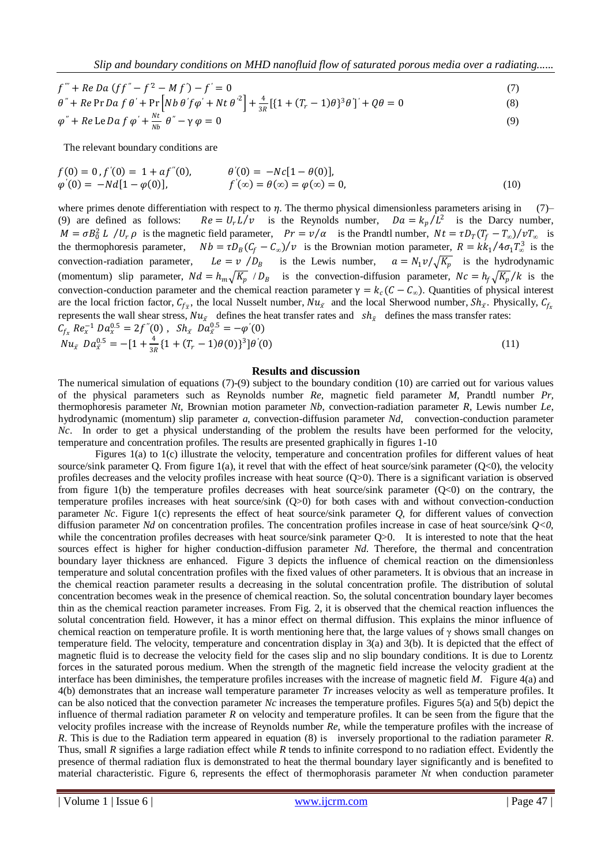*Slip and boundary conditions on MHD nanofluid flow of saturated porous media over a radiating......*

$$
f''' + Re Da (ff'' - f^2 - Mf') - f' = 0
$$
  
\n
$$
\theta'' + Re Pr Da f \theta' + Pr [Nb \theta' f \phi' + Nt \theta'^2] + \frac{4}{3B} [(1 + (T_r - 1)\theta)^3 \theta']' + Q\theta = 0
$$
\n(7)

$$
\varphi'' + Re \operatorname{LeDaf} \varphi' + \frac{Nt}{Nb} \theta'' - \gamma \varphi = 0
$$
\n(9)

The relevant boundary conditions are

$$
f(0) = 0, f'(0) = 1 + af''(0), \qquad \theta'(0) = -Nc[1 - \theta(0)],
$$
  
\n
$$
\varphi'(0) = -Nd[1 - \varphi(0)], \qquad f'(\infty) = \theta(\infty) = \varphi(\infty) = 0,
$$
\n(10)

where primes denote differentiation with respect to  $\eta$ . The thermo physical dimensionless parameters arising in (7)– (9) are defined as follows:  $Re = U_r L/v$  is the Reynolds number,  $Da = k_p/L^2$  is the Darcy number,  $M = \sigma B_0^2 L / U_r \rho$  is the magnetic field parameter,  $Pr = v/\alpha$  is the Prandtl number,  $Nt = \tau D_T (T_f - T_\infty)/vT_\infty$  is the thermophoresis parameter,  $Nb = \tau D_B (C_f - C_\infty)/v$  is the Brownian motion parameter,  $R = k k_1 / 4 \sigma_1 T_\infty^3$  is the convection-radiation parameter,  $/D_B$  is the Lewis number,  $a = N_1 v / \sqrt{K_p}$  is the hydrodynamic (momentum) slip parameter,  $Nd = h_m \sqrt{K_p}/D_B$  is the convection-diffusion parameter,  $Nc = h_f \sqrt{K_p}/k$  is the convection-conduction parameter and the chemical reaction parameter  $\gamma = k_c (C - C_{\infty})$ . Quantities of physical interest are the local friction factor,  $C_{f_{\bar{x}}}$ , the local Nusselt number,  $Nu_{\bar{x}}$  and the local Sherwood number,  $Sh_{\bar{x}}$ . Physically,  $C_{f_{\bar{x}}}$ represents the wall shear stress,  $Nu_{\bar{x}}$  defines the heat transfer rates and  $sh_{\bar{x}}$  defines the mass transfer rates:  $C_{f_x} Re_x^{-1} Da_x^{0.5} = 2f''(0)$ ,  $Sh_{\bar{x}} Da_{\bar{x}}^{0.5} = -\varphi'(0)$ 

$$
Nu_{\bar{x}} Da_{\bar{x}}^{0.5} = -[1 + \frac{4}{3R} \{1 + (T_r - 1)\theta(0)\}^3] \theta'(0)
$$
\n(11)

## **Results and discussion**

The numerical simulation of equations (7)-(9) subject to the boundary condition (10) are carried out for various values of the physical parameters such as Reynolds number *Re*, magnetic field parameter *M*, Prandtl number *Pr,* thermophoresis parameter *Nt,* Brownian motion parameter *Nb*, convection-radiation parameter *R*, Lewis number *Le*, hydrodynamic (momentum) slip parameter *a*, convection-diffusion parameter *Nd*, convection-conduction parameter *Nc*. In order to get a physical understanding of the problem the results have been performed for the velocity, temperature and concentration profiles. The results are presented graphically in figures 1-10

Figures 1(a) to 1(c) illustrate the velocity, temperature and concentration profiles for different values of heat source/sink parameter Q. From figure 1(a), it revel that with the effect of heat source/sink parameter  $(Q<sub>0</sub>)$ , the velocity profiles decreases and the velocity profiles increase with heat source (Q>0). There is a significant variation is observed from figure 1(b) the temperature profiles decreases with heat source/sink parameter  $(Q<sub>0</sub>)$  on the contrary, the temperature profiles increases with heat source/sink (Q>0) for both cases with and without convection-conduction parameter *Nc*. Figure 1(c) represents the effect of heat source/sink parameter *Q*, for different values of convection diffusion parameter *Nd* on concentration profiles. The concentration profiles increase in case of heat source/sink *Q<0*, while the concentration profiles decreases with heat source/sink parameter  $Q>0$ . It is interested to note that the heat sources effect is higher for higher conduction-diffusion parameter *Nd*. Therefore, the thermal and concentration boundary layer thickness are enhanced. Figure 3 depicts the influence of chemical reaction on the dimensionless temperature and solutal concentration profiles with the fixed values of other parameters. It is obvious that an increase in the chemical reaction parameter results a decreasing in the solutal concentration profile. The distribution of solutal concentration becomes weak in the presence of chemical reaction. So, the solutal concentration boundary layer becomes thin as the chemical reaction parameter increases. From Fig. 2, it is observed that the chemical reaction influences the solutal concentration field. However, it has a minor effect on thermal diffusion. This explains the minor influence of chemical reaction on temperature profile. It is worth mentioning here that, the large values of  $\gamma$  shows small changes on temperature field. The velocity, temperature and concentration display in 3(a) and 3(b). It is depicted that the effect of magnetic fluid is to decrease the velocity field for the cases slip and no slip boundary conditions. It is due to Lorentz forces in the saturated porous medium. When the strength of the magnetic field increase the velocity gradient at the interface has been diminishes, the temperature profiles increases with the increase of magnetic field *M*. Figure 4(a) and 4(b) demonstrates that an increase wall temperature parameter *Tr* increases velocity as well as temperature profiles. It can be also noticed that the convection parameter *Nc* increases the temperature profiles. Figures 5(a) and 5(b) depict the influence of thermal radiation parameter  $R$  on velocity and temperature profiles. It can be seen from the figure that the velocity profiles increase with the increase of Reynolds number *Re*, while the temperature profiles with the increase of *R*. This is due to the Radiation term appeared in equation (8) is inversely proportional to the radiation parameter *R*. Thus, small *R* signifies a large radiation effect while *R* tends to infinite correspond to no radiation effect. Evidently the presence of thermal radiation flux is demonstrated to heat the thermal boundary layer significantly and is benefited to material characteristic. Figure 6, represents the effect of thermophorasis parameter *Nt* when conduction parameter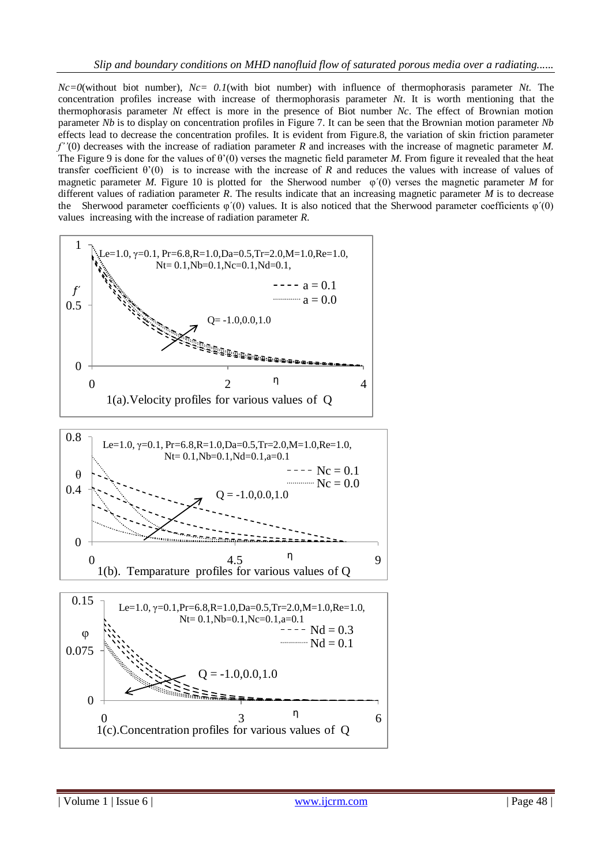*Nc=0*(without biot number), *Nc= 0.1*(with biot number) with influence of thermophorasis parameter *Nt*. The concentration profiles increase with increase of thermophorasis parameter *Nt*. It is worth mentioning that the thermophorasis parameter *Nt* effect is more in the presence of Biot number *Nc*. The effect of Brownian motion parameter *Nb* is to display on concentration profiles in Figure 7. It can be seen that the Brownian motion parameter *Nb* effects lead to decrease the concentration profiles. It is evident from Figure.8, the variation of skin friction parameter *f''*(0) decreases with the increase of radiation parameter *R* and increases with the increase of magnetic parameter *M*. The Figure 9 is done for the values of  $\theta'(0)$  verses the magnetic field parameter *M*. From figure it revealed that the heat transfer coefficient θ'(0) is to increase with the increase of *R* and reduces the values with increase of values of magnetic parameter *M*. Figure 10 is plotted for the Sherwood number  $\varphi'(0)$  verses the magnetic parameter *M* for different values of radiation parameter *R*. The results indicate that an increasing magnetic parameter *M* is to decrease the Sherwood parameter coefficients  $\varphi'(0)$  values. It is also noticed that the Sherwood parameter coefficients  $\varphi'(0)$ values increasing with the increase of radiation parameter *R*.

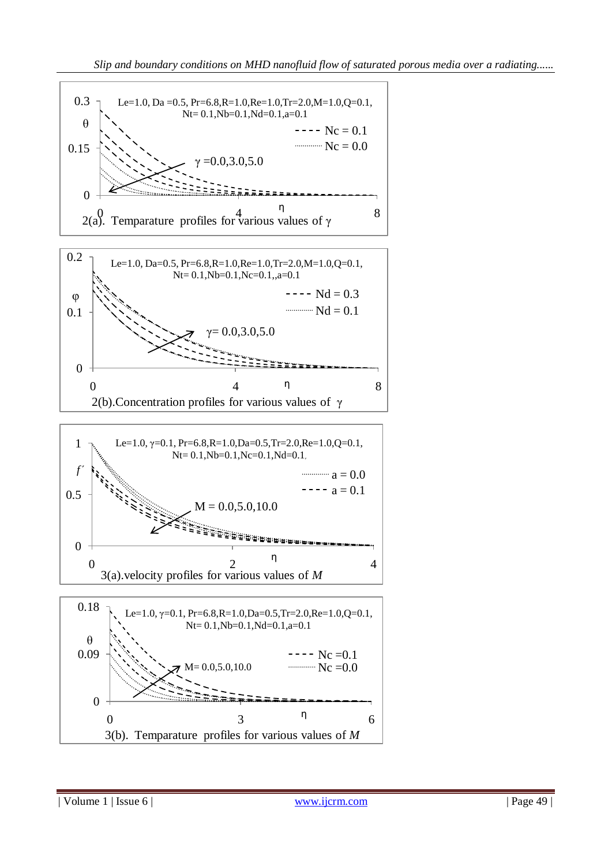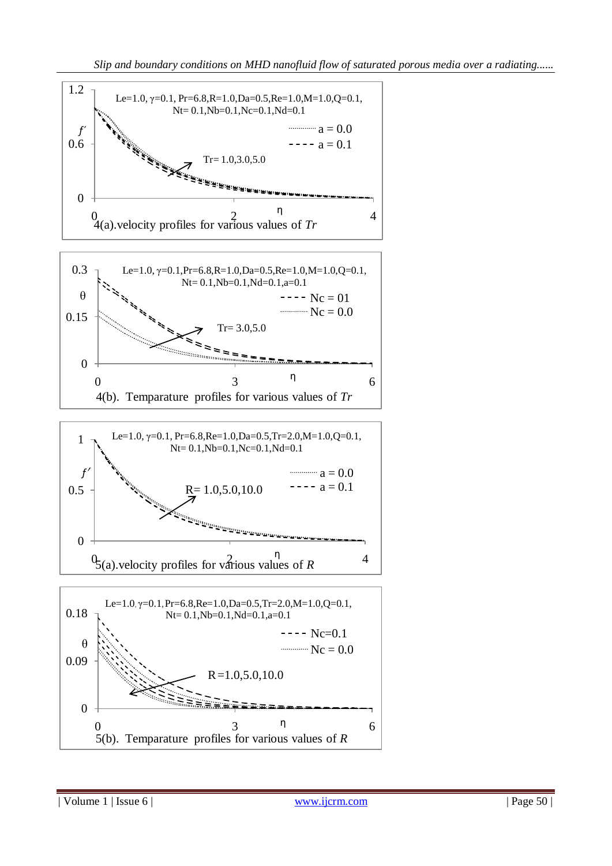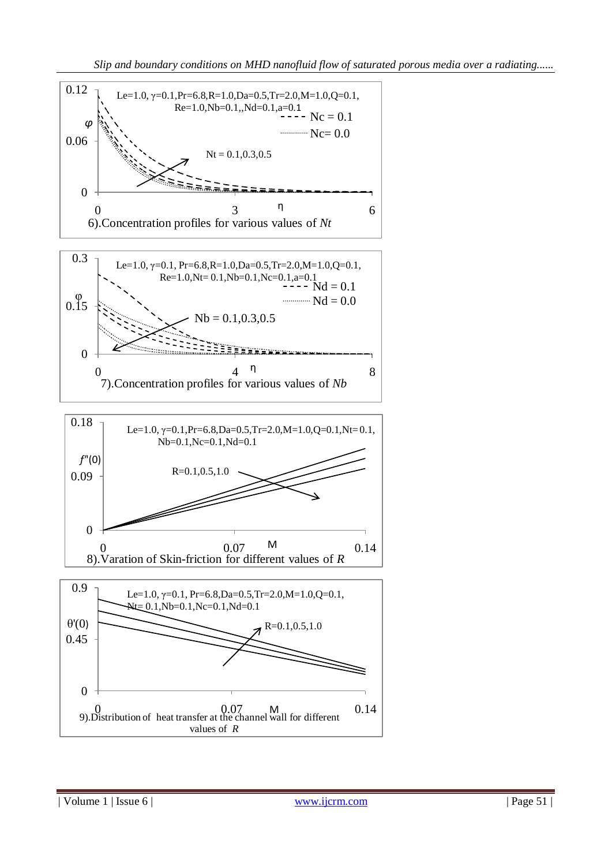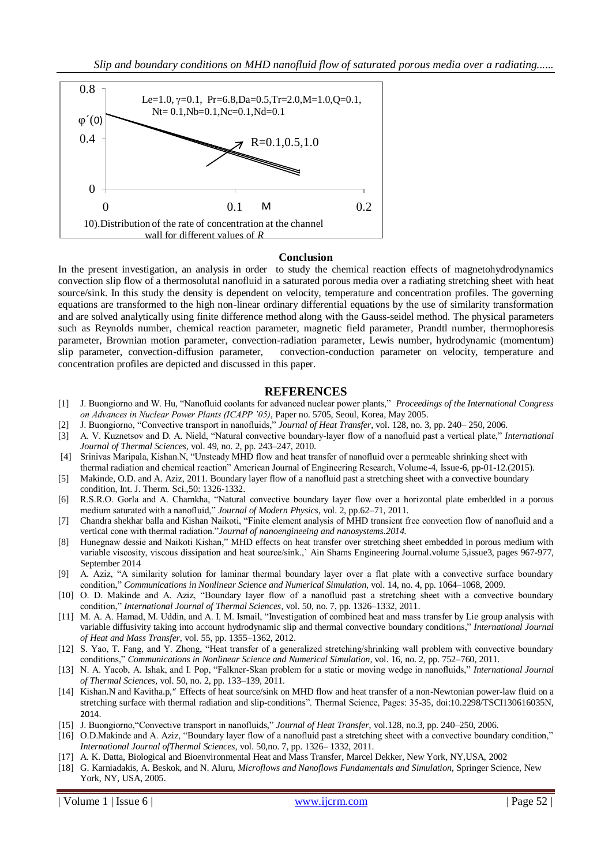*Slip and boundary conditions on MHD nanofluid flow of saturated porous media over a radiating......*



#### **Conclusion**

In the present investigation, an analysis in order to study the chemical reaction effects of magnetohydrodynamics convection slip flow of a thermosolutal nanofluid in a saturated porous media over a radiating stretching sheet with heat source/sink. In this study the density is dependent on velocity, temperature and concentration profiles. The governing equations are transformed to the high non-linear ordinary differential equations by the use of similarity transformation and are solved analytically using finite difference method along with the Gauss-seidel method. The physical parameters such as Reynolds number, chemical reaction parameter, magnetic field parameter, Prandtl number*,* thermophoresis parameter*,* Brownian motion parameter, convection-radiation parameter, Lewis number, hydrodynamic (momentum) slip parameter, convection-diffusion parameter, convection-conduction parameter on velocity, temperature and concentration profiles are depicted and discussed in this paper.

# **REFERENCES**

- [1] J. Buongiorno and W. Hu, "Nanofluid coolants for advanced nuclear power plants," *Proceedings of the International Congress on Advances in Nuclear Power Plants (ICAPP '05)*, Paper no. 5705, Seoul, Korea, May 2005.
- [2] J. Buongiorno, "Convective transport in nanofluids," *Journal of Heat Transfer*, vol. 128, no. 3, pp. 240– 250, 2006.
- [3] A. V. Kuznetsov and D. A. Nield, "Natural convective boundary-layer flow of a nanofluid past a vertical plate," *International Journal of Thermal Sciences*, vol. 49, no. 2, pp. 243–247, 2010.
- [4] Srinivas Maripala, Kishan.N, "Unsteady MHD flow and heat transfer of nanofluid over a permeable shrinking sheet with thermal radiation and chemical reaction" American Journal of Engineering Research, Volume-4, Issue-6, pp-01-12.(2015).
- [5] Makinde, O.D. and A. Aziz, 2011. Boundary layer flow of a nanofluid past a stretching sheet with a convective boundary condition, Int. J. Therm. Sci.,50: 1326-1332.
- [6] R.S.R.O. Gorla and A. Chamkha, "Natural convective boundary layer flow over a horizontal plate embedded in a porous medium saturated with a nanofluid," *Journal of Modern Physics*, vol. 2, pp.62–71, 2011.
- [7] Chandra shekhar balla and Kishan Naikoti, "Finite element analysis of MHD transient free convection flow of nanofluid and a vertical cone with thermal radiation."*Journal of nanoengineeing and nanosystems.2014.*
- [8] Hunegnaw dessie and Naikoti Kishan," MHD effects on heat transfer over stretching sheet embedded in porous medium with variable viscosity, viscous dissipation and heat source/sink.,' [Ain Shams Engineering Journal.](http://www.sciencedirect.com/science/journal/20904479)volume 5,issue3, pages 967-977, September 2014
- [9] A. Aziz, "A similarity solution for laminar thermal boundary layer over a flat plate with a convective surface boundary condition," *Communications in Nonlinear Science and Numerical Simulation*, vol. 14, no. 4, pp. 1064–1068, 2009.
- [10] O. D. Makinde and A. Aziz, "Boundary layer flow of a nanofluid past a stretching sheet with a convective boundary condition," *International Journal of Thermal Sciences*, vol. 50, no. 7, pp. 1326–1332, 2011.
- [11] M. A. A. Hamad, M. Uddin, and A. I. M. Ismail, "Investigation of combined heat and mass transfer by Lie group analysis with variable diffusivity taking into account hydrodynamic slip and thermal convective boundary conditions," *International Journal of Heat and Mass Transfer*, vol. 55, pp. 1355–1362, 2012.
- [12] S. Yao, T. Fang, and Y. Zhong, "Heat transfer of a generalized stretching/shrinking wall problem with convective boundary conditions," *Communications in Nonlinear Science and Numerical Simulation*, vol. 16, no. 2, pp. 752–760, 2011.
- [13] N. A. Yacob, A. Ishak, and I. Pop, "Falkner-Skan problem for a static or moving wedge in nanofluids," *International Journal of Thermal Sciences*, vol. 50, no. 2, pp. 133–139, 2011.
- [14] Kishan.N and Kavitha.p," [Effects of heat source/sink on MHD flow and heat transfer of a non-Newtonian power-law fluid on a](http://scholar.google.com/scholar?oi=bibs&cluster=3301667585834865161&btnI=1&hl=en)  [stretching surface with thermal radiation and slip-conditions"](http://scholar.google.com/scholar?oi=bibs&cluster=3301667585834865161&btnI=1&hl=en). Thermal Science, Pages: 35-35, [doi:10.2298/TSCI130616035N](http://www.doiserbia.nb.rs/Article.aspx?id=0354-98361400035N), 2014.
- [15] J. Buongiorno,"Convective transport in nanofluids," *Journal of Heat Transfer*, vol.128, no.3, pp. 240–250, 2006.
- [16] O.D.Makinde and A. Aziz, "Boundary layer flow of a nanofluid past a stretching sheet with a convective boundary condition," *International Journal ofThermal Sciences*, vol. 50,no. 7, pp. 1326– 1332, 2011.
- [17] A. K. Datta, Biological and Bioenvironmental Heat and Mass Transfer, Marcel Dekker, New York, NY,USA, 2002
- [18] G. Karniadakis, A. Beskok, and N. Aluru, *Microflows and Nanoflows Fundamentals and Simulation*, Springer Science, New York, NY, USA, 2005.